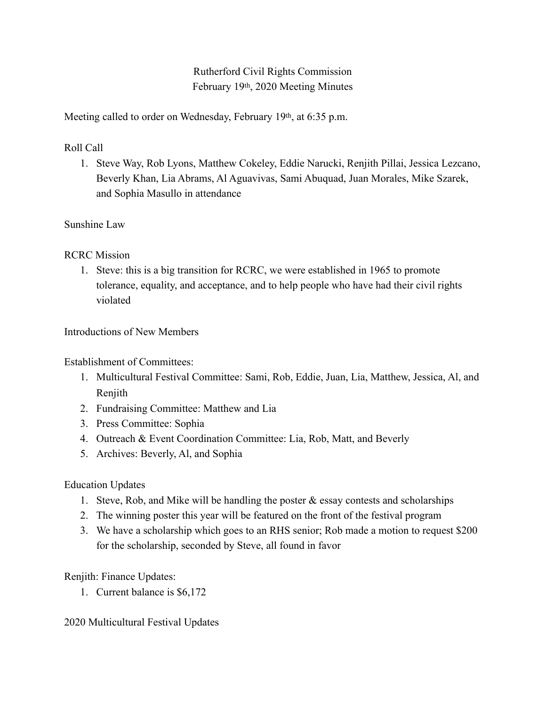Rutherford Civil Rights Commission February 19th, 2020 Meeting Minutes

Meeting called to order on Wednesday, February 19<sup>th</sup>, at 6:35 p.m.

Roll Call

1. Steve Way, Rob Lyons, Matthew Cokeley, Eddie Narucki, Renjith Pillai, Jessica Lezcano, Beverly Khan, Lia Abrams, Al Aguavivas, Sami Abuquad, Juan Morales, Mike Szarek, and Sophia Masullo in attendance

## Sunshine Law

RCRC Mission

1. Steve: this is a big transition for RCRC, we were established in 1965 to promote tolerance, equality, and acceptance, and to help people who have had their civil rights violated

Introductions of New Members

Establishment of Committees:

- 1. Multicultural Festival Committee: Sami, Rob, Eddie, Juan, Lia, Matthew, Jessica, Al, and Renjith
- 2. Fundraising Committee: Matthew and Lia
- 3. Press Committee: Sophia
- 4. Outreach & Event Coordination Committee: Lia, Rob, Matt, and Beverly
- 5. Archives: Beverly, Al, and Sophia

Education Updates

- 1. Steve, Rob, and Mike will be handling the poster  $\&$  essay contests and scholarships
- 2. The winning poster this year will be featured on the front of the festival program
- 3. We have a scholarship which goes to an RHS senior; Rob made a motion to request \$200 for the scholarship, seconded by Steve, all found in favor

Renjith: Finance Updates:

1. Current balance is \$6,172

2020 Multicultural Festival Updates